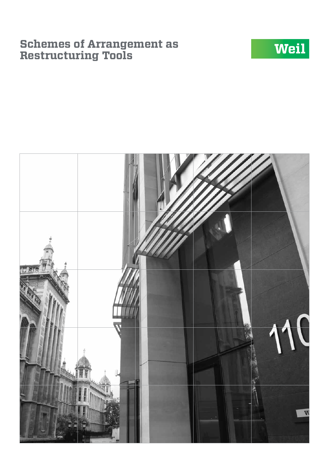## **Schemes of Arrangement as Restructuring Tools**

## **Weil**

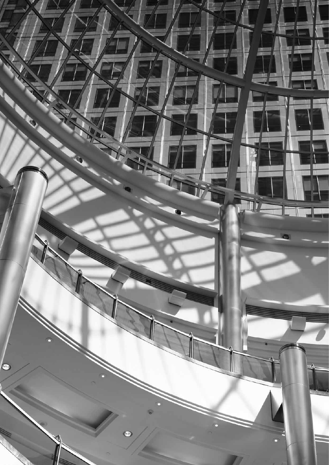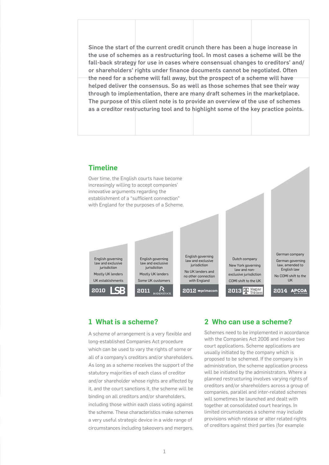Since the start of the current credit crunch there has been a huge increase in the use of schemes as a restructuring tool. In most cases a scheme will be the fall-back strategy for use in cases where consensual changes to creditors' and/ or shareholders' rights under finance documents cannot be negotiated. Often the need for a scheme will fall away, but the prospect of a scheme will have helped deliver the consensus. So as well as those schemes that see their way through to implementation, there are many draft schemes in the marketplace. The purpose of this client note is to provide an overview of the use of schemes as a creditor restructuring tool and to highlight some of the key practice points.

#### **Timeline**



#### **1 What is a scheme?**

A scheme of arrangement is a very flexible and long-established Companies Act procedure which can be used to vary the rights of some or all of a company's creditors and/or shareholders. As long as a scheme receives the support of the statutory majorities of each class of creditor and/or shareholder whose rights are affected by it, and the court sanctions it, the scheme will be binding on all creditors and/or shareholders, including those within each class voting against the scheme. These characteristics make schemes a very useful strategic device in a wide range of circumstances including takeovers and mergers.

#### **2 Who can use a scheme?**

Schemes need to be implemented in accordance with the Companies Act 2006 and involve two court applications. Scheme applications are usually initiated by the company which is proposed to be schemed. If the company is in administration, the scheme application process will be initiated by the administrators. Where a planned restructuring involves varying rights of creditors and/or shareholders across a group of companies, parallel and inter-related schemes will sometimes be launched and dealt with together at consolidated court hearings. In limited circumstances a scheme may include provisions which release or alter related rights of creditors against third parties (for example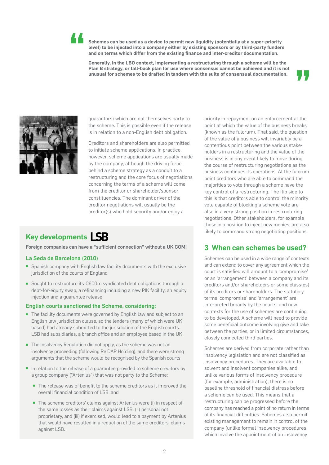# **"**

**Schemes can be used as a device to permit new liquidity (potentially at a super-priority level) to be injected into a company either by existing sponsors or by third-party funders and on terms which differ from the existing finance and inter-creditor documentation.**

**Generally, in the LBO context, implementing a restructuring through a scheme will be the Plan B strategy, or fall-back plan for use where consensus cannot be achieved and it is not unusual for schemes to be drafted in tandem with the suite of consensual documentation.**





guarantors) which are not themselves party to the scheme. This is possible even if the release is in relation to a non-English debt obligation.

Creditors and shareholders are also permitted to initiate scheme applications. In practice, however, scheme applications are usually made by the company, although the driving force behind a scheme strategy as a conduit to a restructuring and the core focus of negotiations concerning the terms of a scheme will come from the creditor or shareholder/sponsor constituencies. The dominant driver of the creditor negotiations will usually be the creditor(s) who hold security and/or enjoy a

### **Key developments**

Foreign companies can have a "sufficient connection" without a UK COMI

#### La Seda de Barcelona (2010)

- Spanish company with English law facility documents with the exclusive jurisdiction of the courts of England
- Sought to restructure its €600m syndicated debt obligations through a debt-for-equity swap, a refinancing including a new PIK facility, an equity injection and a guarantee release

#### English courts sanctioned the Scheme, considering:

- The facility documents were governed by English law and subject to an English law jurisdiction clause, so the lenders (many of which were UK based) had already submitted to the jurisdiction of the English courts. LSB had subsidiaries, a branch office and an employee based in the UK
- The Insolvency Regulation did not apply, as the scheme was not an insolvency proceeding (following Re DAP Holding), and there were strong arguments that the scheme would be recognised by the Spanish courts
- In relation to the release of a quarantee provided to scheme creditors by a group company ("Artenius") that was not party to the Scheme:
	- The release was of benefit to the scheme creditors as it improved the overall financial condition of LSB; and
	- The scheme creditors' claims against Artenius were (i) in respect of the same losses as their claims against LSB, (ii) personal not proprietary, and (iii) if exercised, would lead to a payment by Artenius that would have resulted in a reduction of the same creditors' claims against LSB.

priority in repayment on an enforcement at the point at which the value of the business breaks (known as the fulcrum). That said, the question of the value of a business will invariably be a contentious point between the various stakeholders in a restructuring and the value of the business is in any event likely to move during the course of restructuring negotiations as the business continues its operations. At the fulcrum point creditors who are able to command the majorities to vote through a scheme have the key control of a restructuring. The flip side to this is that creditors able to control the minority vote capable of blocking a scheme vote are also in a very strong position in restructuring negotiations. Other stakeholders, for example those in a position to inject new monies, are also likely to command strong negotiating positions.

#### **3 When can schemes be used?**

Schemes can be used in a wide range of contexts and can extend to cover any agreement which the court is satisfied will amount to a 'compromise' or an 'arrangement' between a company and its creditors and/or shareholders or some class(es) of its creditors or shareholders. The statutory terms 'compromise' and 'arrangement' are interpreted broadly by the courts, and new contexts for the use of schemes are continuing to be developed. A scheme will need to provide some beneficial outcome involving give and take between the parties, or in limited circumstances, closely connected third parties.

Schemes are derived from corporate rather than insolvency legislation and are not classified as insolvency procedures. They are available to solvent and insolvent companies alike, and, unlike various forms of insolvency procedure (for example, administration), there is no baseline threshold of financial distress before a scheme can be used. This means that a restructuring can be progressed before the company has reached a point of no return in terms of its financial difficulties. Schemes also permit existing management to remain in control of the company (unlike formal insolvency procedures which involve the appointment of an insolvency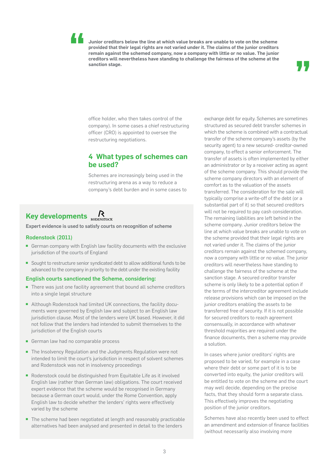**Junior creditors below the line at which value breaks are unable to vote on the scheme provided that their legal rights are not varied under it. The claims of the junior creditors remain against the schemed company, now a company with little or no value. The junior creditors will nevertheless have standing to challenge the fairness of the scheme at the**  creditors will nevertheless have standing to challenge the fairness of the scheme at the sanction stage.



office holder, who then takes control of the company). In some cases a chief restructuring officer (CRO) is appointed to oversee the restructuring negotiations.

#### **4 What types of schemes can be used?**

Schemes are increasingly being used in the restructuring arena as a way to reduce a company's debt burden and in some cases to

### **Key developments R**<sub>RODENSTOCK</sub>

Expert evidence is used to satisfy courts on recognition of scheme

#### Rodenstock (2011)

- German company with English law facility documents with the exclusive jurisdiction of the courts of England
- Sought to restructure senior syndicated debt to allow additional funds to be advanced to the company in priority to the debt under the existing facility

#### English courts sanctioned the Scheme, considering:

- There was just one facility agreement that bound all scheme creditors into a single legal structure
- Although Rodenstock had limited UK connections, the facility documents were governed by English law and subject to an English law jurisdiction clause. Most of the lenders were UK based. However, it did not follow that the lenders had intended to submit themselves to the jurisdiction of the English courts
- German law had no comparable process
- The Insolvency Regulation and the Judgments Regulation were not intended to limit the court's jurisdiction in respect of solvent schemes and Rodenstock was not in insolvency proceedings
- Rodenstock could be distinguished from Equitable Life as it involved English law (rather than German law) obligations. The court received expert evidence that the scheme would be recognised in Germany because a German court would, under the Rome Convention, apply English law to decide whether the lenders' rights were effectively varied by the scheme
- The scheme had been negotiated at length and reasonably practicable alternatives had been analysed and presented in detail to the lenders

exchange debt for equity. Schemes are sometimes structured as secured debt transfer schemes in which the scheme is combined with a contractual transfer of the scheme company's assets (by the security agent) to a new secured- creditor-owned company, to effect a senior enforcement. The transfer of assets is often implemented by either an administrator or by a receiver acting as agent of the scheme company. This should provide the scheme company directors with an element of comfort as to the valuation of the assets transferred. The consideration for the sale will typically comprise a write-off of the debt (or a substantial part of it) so that secured creditors will not be required to pay cash consideration. The remaining liabilities are left behind in the scheme company. Junior creditors below the line at which value breaks are unable to vote on the scheme provided that their legal rights are not varied under it. The claims of the junior creditors remain against the schemed company, now a company with little or no value. The junior creditors will nevertheless have standing to challenge the fairness of the scheme at the sanction stage. A secured creditor transfer scheme is only likely to be a potential option if the terms of the intercreditor agreement include release provisions which can be imposed on the junior creditors enabling the assets to be transferred free of security. If it is not possible for secured creditors to reach agreement consensually, in accordance with whatever threshold majorities are required under the finance documents, then a scheme may provide a solution.

In cases where junior creditors' rights are proposed to be varied, for example in a case where their debt or some part of it is to be converted into equity, the junior creditors will be entitled to vote on the scheme and the court may well decide, depending on the precise facts, that they should form a separate class. This effectively improves the negotiating position of the junior creditors.

Schemes have also recently been used to effect an amendment and extension of finance facilities (without necessarily also involving more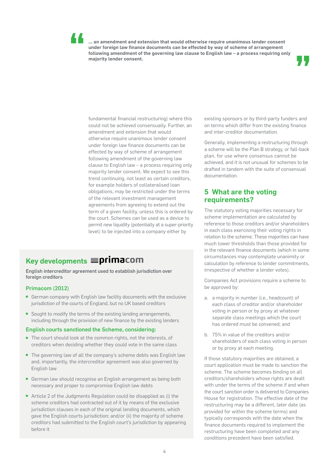**... an amendment and extension that would otherwise require unanimous lender consent under foreign law finance documents can be effected by way of scheme of arrangement following amendment of the governing law clause to English law – a process requiring only majority lender consent. "**



fundamental financial restructuring) where this could not be achieved consensually. Further, an amendment and extension that would otherwise require unanimous lender consent under foreign law finance documents can be effected by way of scheme of arrangement following amendment of the governing law clause to English law – a process requiring only majority lender consent. We expect to see this trend continuing, not least as certain creditors, for example holders of collateralised loan obligations, may be restricted under the terms of the relevant investment management agreements from agreeing to extend out the term of a given facility, unless this is ordered by the court. Schemes can be used as a device to permit new liquidity (potentially at a super-priority level) to be injected into a company either by

## **Key developments**

English intercreditor agreement used to establish jurisdiction over foreign creditors

#### Primacom (2012)

- German company with English law facility documents with the exclusive jurisdiction of the courts of England, but no UK based creditors
- Sought to modify the terms of the existing lending arrangements, including through the provision of new finance by the existing lenders

#### English courts sanctioned the Scheme, considering:

- The court should look at the common rights, not the interests, of creditors when deciding whether they could vote in the same class
- The governing law of all the company's scheme debts was English law and, importantly, the intercreditor agreement was also governed by English law
- German law should recognise an English arrangement as being both necessary and proper to compromise English law debts
- Article 2 of the Judgments Regulation could be disapplied as (i) the scheme creditors had contracted out of it by means of the exclusive jurisdiction clauses in each of the original lending documents, which gave the English courts jurisdiction; and/or (ii) the majority of scheme creditors had submitted to the English court's jurisdiction by appearing before it

existing sponsors or by third-party funders and on terms which differ from the existing finance and inter-creditor documentation.

Generally, implementing a restructuring through a scheme will be the Plan B strategy, or fall-back plan, for use where consensus cannot be achieved, and it is not unusual for schemes to be drafted in tandem with the suite of consensual documentation.

#### **5 What are the voting requirements?**

The statutory voting majorities necessary for scheme implementation are calculated by reference to those creditors and/or shareholders in each class exercising their voting rights in relation to the scheme. These majorities can have much lower thresholds than those provided for in the relevant finance documents (which in some circumstances may contemplate unanimity or calculation by reference to lender commitments, irrespective of whether a lender votes).

Companies Act provisions require a scheme to be approved by:

- a. a majority in number (i.e., headcount) of each class of creditor and/or shareholder voting in person or by proxy at whatever separate class meetings which the court has ordered must be convened; and
- b. 75% in value of the creditors and/or shareholders of each class voting in person or by proxy at each meeting.

If those statutory majorities are obtained, a court application must be made to sanction the scheme. The scheme becomes binding on all creditors/shareholders whose rights are dealt with under the terms of the scheme if and when the court sanction order is delivered to Companies House for registration. The effective date of the restructuring may be a different, later date (as provided for within the scheme terms) and typically corresponds with the date when the finance documents required to implement the restructuring have been completed and any conditions precedent have been satisfied.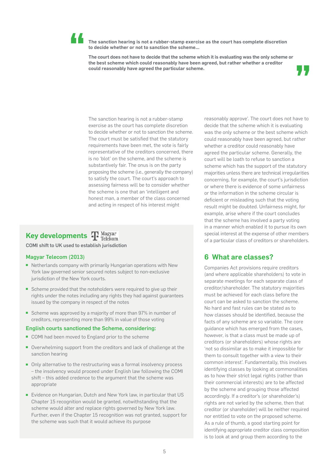# **"**

**The sanction hearing is not a rubber-stamp exercise as the court has complete discretion to decide whether or not to sanction the scheme...**

**The court does not have to decide that the scheme which it is evaluating was the only scheme or the best scheme which could reasonably have been agreed, but rather whether a creditor could reasonably have agreed the particular scheme.** The court does not have to decide that the scheme which it is evaluating was the only scheme or<br>the best scheme which could reasonably have been agreed, but rather whether a creditor<br>could reasonably have agreed the partic



The sanction hearing is not a rubber-stamp exercise as the court has complete discretion to decide whether or not to sanction the scheme. The court must be satisfied that the statutory requirements have been met, the vote is fairly representative of the creditors concerned, there is no 'blot' on the scheme, and the scheme is substantively fair. The onus is on the party proposing the scheme (i.e., generally the company) to satisfy the court. The court's approach to assessing fairness will be to consider whether the scheme is one that an 'intelligent and honest man, a member of the class concerned and acting in respect of his interest might

## **Key developments**

COMI shift to UK used to establish jurisdiction

#### Magyar Telecom (2013)

- Netherlands company with primarily Hungarian operations with New York law governed senior secured notes subject to non-exclusive jurisdiction of the New York courts.
- Scheme provided that the noteholders were required to give up their rights under the notes including any rights they had against guarantees issued by the company in respect of the notes
- Scheme was approved by a majority of more than 97% in number of creditors, representing more than 99% in value of those voting

#### English courts sanctioned the Scheme, considering:

- COMI had been moved to England prior to the scheme
- Overwhelming support from the creditors and lack of challenge at the sanction hearing
- Only alternative to the restructuring was a formal insolvency process – the insolvency would proceed under English law following the COMI shift – this added credence to the argument that the scheme was appropriate
- Evidence on Hungarian, Dutch and New York law, in particular that US Chapter 15 recognition would be granted, notwithstanding that the scheme would alter and replace rights governed by New York law. Further, even if the Chapter 15 recognition was not granted, support for the scheme was such that it would achieve its purpose

reasonably approve'. The court does not have to decide that the scheme which it is evaluating was the only scheme or the best scheme which could reasonably have been agreed, but rather whether a creditor could reasonably have agreed the particular scheme. Generally, the court will be loath to refuse to sanction a scheme which has the support of the statutory majorities unless there are technical irregularities concerning, for example, the court's jurisdiction or where there is evidence of some unfairness or the information in the scheme circular is deficient or misleading such that the voting result might be doubted. Unfairness might, for example, arise where if the court concludes that the scheme has involved a party voting in a manner which enabled it to pursue its own special interest at the expense of other members of a particular class of creditors or shareholders.

#### **6 What are classes?**

Companies Act provisions require creditors (and where applicable shareholders) to vote in separate meetings for each separate class of creditor/shareholder. The statutory majorities must be achieved for each class before the court can be asked to sanction the scheme. No hard and fast rules can be stated as to how classes should be identified, because the facts of any scheme are so variable. The core guidance which has emerged from the cases, however, is that a class must be made up of creditors (or shareholders) whose rights are 'not so dissimilar as to make it impossible for them to consult together with a view to their common interest'. Fundamentally, this involves identifying classes by looking at commonalities as to how their strict legal rights (rather than their commercial interests) are to be affected by the scheme and grouping those affected accordingly. If a creditor's (or shareholder's) rights are not varied by the scheme, then that creditor (or shareholder) will be neither required nor entitled to vote on the proposed scheme. As a rule of thumb, a good starting point for identifying appropriate creditor class composition is to look at and group them according to the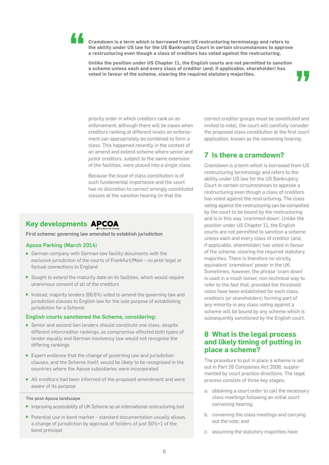**Cramdown is a term which is borrowed from US restructuring terminology and refers to the ability under US law for the US Bankruptcy Court in certain circumstances to approve a restructuring even though a class of creditors has voted against the restructuring. "**

**Unlike the position under US Chapter 11, the English courts are not permitted to sanction a scheme unless each and every class of creditor (and, if applicable, shareholder) has voted in favour of the scheme, clearing the required statutory majorities.**



priority order in which creditors rank on an enforcement, although there will be cases when creditors ranking at different levels on enforcement can appropriately be combined to form a class. This happened recently in the context of an amend and extend scheme where senior and junior creditors, subject to the same extension of the facilities, were placed into a single class.

Because the issue of class constitution is of such fundamental importance and the court has no discretion to correct wrongly constituted classes at the sanction hearing (in that the

#### **Key developments**

First scheme: governing law amended to establish jurisdiction

#### Apcoa Parking (March 2014)

- German company with German-law facility documents with the exclusive jurisdiction of the courts of Frankfurt/Main – no prior legal or factual connections to England
- Sought to extend the maturity date on its facilities, which would require unanimous consent of all of the creditors
- Instead, majority lenders (66.6%) voted to amend the governing law and jurisdiction clauses to English law for the sole purpose of establishing jurisdiction for a Scheme

#### English courts sanctioned the Scheme, considering:

- Senior and second lien lenders should constitute one class, despite different intercreditor rankings, as compromise affected both types of lender equally and German insolvency law would not recognise the differing rankings
- Expert evidence that the change of governing law and jurisdiction clauses, and the Scheme itself, would be likely to be recognised in the countries where the Apcoa subsidiaries were incorporated
- All creditors had been informed of the proposed amendment and were aware of its purpose

#### The post-Apcoa landscape

- Improving accessibility of UK Scheme as an international restructuring tool
- Potential use in bond market standard documentation usually allows a change of jurisdiction by approval of holders of just 50%+1 of the bond principal

correct creditor groups must be constituted and invited to vote), the court will carefully consider the proposed class constitution at the first court application, known as the convening hearing.

#### **7 Is there a cramdown?**

Cramdown is a term which is borrowed from US restructuring terminology and refers to the ability under US law for the US Bankruptcy Court in certain circumstances to approve a restructuring even though a class of creditors has voted against the restructuring. The class voting against the restructuring can be compelled by the court to be bound by the restructuring and is in this way 'crammed-down'. Unlike the position under US Chapter 11, the English courts are not permitted to sanction a scheme unless each and every class of creditor (and, if applicable, shareholder) has voted in favour of the scheme, clearing the required statutory majorities. There is therefore no strictly equivalent 'cramdown' power in the UK. Sometimes, however, the phrase 'cram down' is used in a much looser, non-technical way to refer to the fact that, provided the threshold votes have been established for each class, creditors (or shareholders) forming part of any minority in any class voting against a scheme will be bound by any scheme which is subsequently sanctioned by the English court.

#### **8 What is the legal process and likely timing of putting in place a scheme?**

The procedure to put in place a scheme is set out in Part 26 Companies Act 2006, supplemented by court practice directions. The legal process consists of three key stages:

- a. obtaining a court order to call the necessary class meetings following an initial court convening hearing;
- b. convening the class meetings and carrying out the vote; and
- c. assuming the statutory majorities have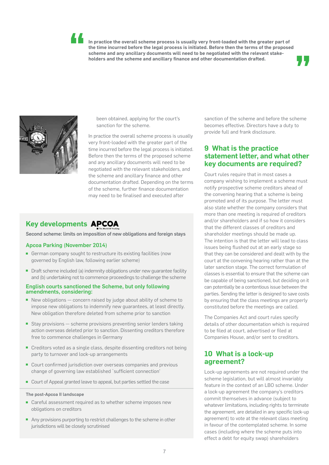**In practice the overall scheme process is usually very front-loaded with the greater part of the time incurred before the legal process is initiated. Before then the terms of the proposed scheme and any ancillary documents will need to be negotiated with the greater part<br>the time incurred before the legal process is initiated. Before then the terms of the prop<br>scheme and any ancillary documents will need t** scheme and any ancillary documents will need to be negotiated with the relevant stake-<br>holders and the scheme and ancillary finance and other documentation drafted.





been obtained, applying for the court's sanction for the scheme.

In practice the overall scheme process is usually very front-loaded with the greater part of the time incurred before the legal process is initiated. Before then the terms of the proposed scheme and any ancillary documents will need to be negotiated with the relevant stakeholders, and the scheme and ancillary finance and other documentation drafted. Depending on the terms of the scheme, further finance documentation may need to be finalised and executed after

### **Key developments**

Second scheme: limits on imposition of new obligations and foreign stays

#### Apcoa Parking (November 2014)

- German company sought to restructure its existing facilities (now governed by English law, following earlier scheme)
- Draft scheme included (a) indemnity obligations under new quarantee facility and (b) undertaking not to commence proceedings to challenge the scheme

#### English courts sanctioned the Scheme, but only following amendments, considering:

- New obligations concern raised by judge about ability of scheme to impose new obligations to indemnify new guarantees, at least directly. New obligation therefore deleted from scheme prior to sanction
- Stay provisions scheme provisions preventing senior lenders taking action overseas deleted prior to sanction. Dissenting creditors therefore free to commence challenges in Germany
- Creditors voted as a single class, despite dissenting creditors not being party to turnover and lock-up arrangements
- Court confirmed jurisdiction over overseas companies and previous change of governing law established `sufficient connection'
- Court of Appeal granted leave to appeal, but parties settled the case

#### The post-Apcoa II landscape

- Careful assessment required as to whether scheme imposes new obligations on creditors
- Any provisions purporting to restrict challenges to the scheme in other jurisdictions will be closely scrutinised

sanction of the scheme and before the scheme becomes effective. Directors have a duty to provide full and frank disclosure.

#### **9 What is the practice statement letter, and what other key documents are required?**

Court rules require that in most cases a company wishing to implement a scheme must notify prospective scheme creditors ahead of the convening hearing that a scheme is being promoted and of its purpose. The letter must also state whether the company considers that more than one meeting is required of creditors and/or shareholders and if so how it considers that the different classes of creditors and shareholder meetings should be made up. The intention is that the letter will lead to class issues being flushed out at an early stage so that they can be considered and dealt with by the court at the convening hearing rather than at the later sanction stage. The correct formulation of classes is essential to ensure that the scheme can be capable of being sanctioned, but deciding on it can potentially be a contentious issue between the parties. Sending the letter is designed to save costs by ensuring that the class meetings are properly constituted before the meetings are called.

The Companies Act and court rules specify details of other documentation which is required to be filed at court, advertised or filed at Companies House, and/or sent to creditors.

#### **10 What is a lock-up agreement?**

Lock-up agreements are not required under the scheme legislation, but will almost invariably feature in the context of an LBO scheme. Under a lock-up agreement the company's creditors commit themselves in advance (subject to whatever limitations, including rights to terminate the agreement, are detailed in any specific lock-up agreement) to vote at the relevant class meeting in favour of the contemplated scheme. In some cases (including where the scheme puts into effect a debt for equity swap) shareholders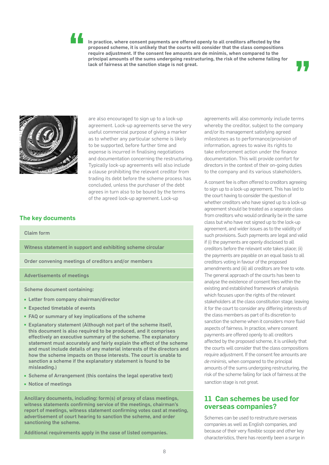# **"**

**In practice, where consent payments are offered openly to all creditors affected by the proposed scheme, it is unlikely that the courts will consider that the class compositions require adjustment. If the consent fee amounts are de minimis, when compared to the principal amounts of the sums undergoing restructuring, the risk of the scheme failing for**  principal amounts of the sums undergoing restructuring, the risk of the scheme failing for lack of fairness at the sanction stage is not great.





are also encouraged to sign up to a lock-up agreement. Lock-up agreements serve the very useful commercial purpose of giving a marker as to whether any particular scheme is likely to be supported, before further time and expense is incurred in finalising negotiations and documentation concerning the restructuring. Typically lock-up agreements will also include a clause prohibiting the relevant creditor from trading its debt before the scheme process has concluded, unless the purchaser of the debt agrees in turn also to be bound by the terms of the agreed lock-up agreement. Lock-up

#### **The key documents**

Claim form

Witness statement in support and exhibiting scheme circular

Order convening meetings of creditors and/or members

Advertisements of meetings

Scheme document containing:

- **ELetter from company chairman/director**
- **Expected timetable of events**
- **FAQ or summary of key implications of the scheme**
- **Explanatory statement (Although not part of the scheme itself,** this document is also required to be produced, and it comprises effectively an executive summary of the scheme. The explanatory statement must accurately and fairly explain the effect of the scheme and must include details of any material interests of the directors and how the scheme impacts on those interests. The court is unable to sanction a scheme if the explanatory statement is found to be misleading.)
- <sup>n</sup> Scheme of Arrangement (this contains the legal operative text)
- **Notice of meetings**

Ancillary documents, including: form(s) of proxy of class meetings, witness statements confirming service of the meetings, chairman's report of meetings, witness statement confirming votes cast at meeting, advertisement of court hearing to sanction the scheme, and order sanctioning the scheme.

Additional requirements apply in the case of listed companies.

agreements will also commonly include terms whereby the creditor, subject to the company and/or its management satisfying agreed milestones as to performance/provision of information, agrees to waive its rights to take enforcement action under the finance documentation. This will provide comfort for directors in the context of their on-going duties to the company and its various stakeholders.

A consent fee is often offered to creditors agreeing to sign up to a lock-up agreement. This has led to the court having to consider the question of whether creditors who have signed up to a lock-up agreement should be treated as a separate class from creditors who would ordinarily be in the same class but who have not signed up to the lock-up agreement, and wider issues as to the validity of such provisions. Such payments are legal and valid if (i) the payments are openly disclosed to all creditors before the relevant vote takes place; (ii) the payments are payable on an equal basis to all creditors voting in favour of the proposed amendments and (iii) all creditors are free to vote. The general approach of the courts has been to analyse the existence of consent fees within the existing and established framework of analysis which focuses upon the rights of the relevant stakeholders at the class constitution stage, leaving it for the court to consider any differing interests of the class members as part of its discretion to sanction the scheme when it considers more fluid aspects of fairness. In practice, where consent payments are offered openly to all creditors affected by the proposed scheme, it is unlikely that the courts will consider that the class compositions require adjustment. If the consent fee amounts are *de minimis*, when compared to the principal amounts of the sums undergoing restructuring, the risk of the scheme failing for lack of fairness at the sanction stage is not great.

#### **11 Can schemes be used for overseas companies?**

Schemes can be used to restructure overseas companies as well as English companies, and because of their very flexible scope and other key characteristics, there has recently been a surge in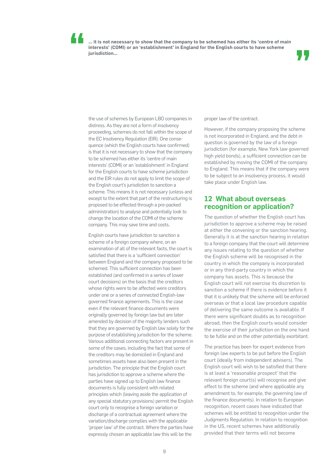**... it is not necessary to show that the company to be schemed has either its 'centre of main interests' (COMI) or an 'establishment' in England for the English courts to have scheme " jurisdiction...**



the use of schemes by European LBO companies in distress. As they are not a form of insolvency proceeding, schemes do not fall within the scope of the EC Insolvency Regulation (EIR). One consequence (which the English courts have confirmed) is that it is not necessary to show that the company to be schemed has either its 'centre of main interests' (COMI) or an 'establishment' in England for the English courts to have scheme jurisdiction and the EIR rules do not apply to limit the scope of the English court's jurisdiction to sanction a scheme. This means it is not necessary (unless and except to the extent that part of the restructuring is proposed to be effected through a pre-packed administration) to analyse and potentially look to change the location of the COMI of the scheme company. This may save time and costs.

English courts have jurisdiction to sanction a scheme of a foreign company where, on an examination of all of the relevant facts, the court is satisfied that there is a 'sufficient connection' between England and the company proposed to be schemed. This sufficient connection has been established (and confirmed in a series of lower court decisions) on the basis that the creditors whose rights were to be affected were creditors under one or a series of connected English-law governed finance agreements. This is the case even if the relevant finance documents were originally governed by foreign law but are later amended by decision of the majority lenders such that they are governed by English law solely for the purpose of establishing jurisdiction for the scheme. Various additional connecting factors are present in some of the cases, including the fact that some of the creditors may be domiciled in England and sometimes assets have also been present in the jurisdiction. The principle that the English court has jurisdiction to approve a scheme where the parties have signed up to English law finance documents is fully consistent with related principles which (leaving aside the application of any special statutory provisions) permit the English court only to recognise a foreign variation or discharge of a contractual agreement where the variation/discharge complies with the applicable 'proper law' of the contract. Where the parties have expressly chosen an applicable law this will be the

proper law of the contract.

However, if the company proposing the scheme is not incorporated in England, and the debt in question is governed by the law of a foreign jurisdiction (for example, New York law governed high yield bonds), a sufficient connection can be established by moving the COMI of the company to England. This means that if the company were to be subject to an insolvency process, it would take place under English law.

#### **12 What about overseas recognition or application?**

The question of whether the English court has jurisdiction to approve a scheme may be raised at either the convening or the sanction hearing. Generally it is at the sanction hearing in relation to a foreign company that the court will determine any issues relating to the question of whether the English scheme will be recognised in the country in which the company is incorporated or in any third-party country in which the company has assets. This is because the English court will not exercise its discretion to sanction a scheme if there is evidence before it that it is unlikely that the scheme will be enforced overseas or that a local law procedure capable of delivering the same outcome is available. If there were significant doubts as to recognition abroad, then the English courts would consider the exercise of their jurisdiction on the one hand to be futile and on the other potentially exorbitant.

The practice has been for expert evidence from foreign law experts to be put before the English court (ideally from independent advisers). The English court will wish to be satisfied that there is at least a 'reasonable prospect' that the relevant foreign court(s) will recognise and give effect to the scheme (and where applicable any amendment to, for example, the governing law of the finance documents). In relation to European recognition, recent cases have indicated that schemes will be entitled to recognition under the Judgments Regulation. In relation to recognition in the US, recent schemes have additionally provided that their terms will not become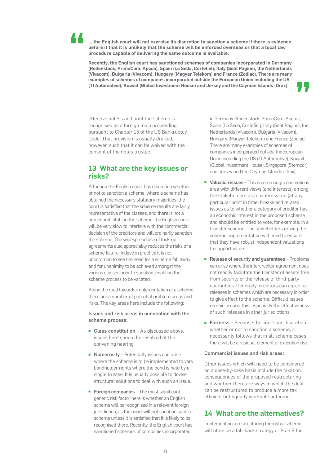**... the English court will not exercise its discretion to sanction a scheme if there is evidence before it that it is unlikely that the scheme will be enforced overseas or that a local law procedure capable of delivering the same outcome is available.**

**Recently, the English court has sanctioned schemes of companies incorporated in Germany (Rodenstock, PrimaCom, Apcoa), Spain (La Seda, Cortefiel), Italy (Seat Pagine), the Netherlands (Vivacom), Bulgaria (Vivacom), Hungary (Magyar Telekom) and France (Zodiac). There are many examples of schemes of companies incorporated outside the European Union including the US (TI Automotive), Kuwait (Global Investment House) and Jersey and the Cayman Islands (Drax).**

effective unless and until the scheme is recognised as a foreign main proceeding pursuant to Chapter 15 of the US Bankruptcy Code. That provision is usually drafted, however, such that it can be waived with the consent of the notes trustee.

**"**

#### **13 What are the key issues or risks?**

Although the English court has discretion whether or not to sanction a scheme, where a scheme has obtained the necessary statutory majorities, the court is satisfied that the scheme results are fairly representative of the classes, and there is not a procedural 'blot' on the scheme, the English court will be very slow to interfere with the commercial decision of the creditors and will ordinarily sanction the scheme. The widespread use of lock-up agreements also appreciably reduces the risks of a scheme failure. Indeed in practice it is not uncommon to see the need for a scheme fall away and for unanimity to be achieved amongst the various classes prior to sanction, enabling the scheme process to be vacated.

Along the road towards implementation of a scheme there are a number of potential problem areas and risks. The key areas here include the following:

Issues and risk areas in connection with the scheme process:

- Class constitution As discussed above, issues here should be resolved at the convening hearing
- Numerosity Potentially issues can arise where the scheme is to be implemented to vary bondholder rights where the bond is held by a single trustee. It is usually possible to devise structural solutions to deal with such an issue.
- Foreign companies The most significant generic risk factor here is whether an English scheme will be recognised in a relevant foreign jurisdiction, as the court will not sanction such a scheme unless it is satisfied that it is likely to be recognised there. Recently, the English court has sanctioned schemes of companies incorporated

in Germany (Rodenstock, PrimaCom, Apcoa), Spain (La Seda, Cortefiel), Italy (Seat Pagine), the Netherlands (Vivacom), Bulgaria (Vivacom), Hungary (Magyar Telekom) and France (Zodiac). There are many examples of schemes of companies incorporated outside the European Union including the US (TI Automotive), Kuwait (Global Investment House), Singapore (Stemcor) and Jersey and the Cayman Islands (Drax).

**"**

- Valuation issues This is commonly a contentious area with different views (and interests) among the stakeholders as to where value (at any particular point in time) breaks and related issues as to whether a category of creditor has an economic interest in the proposed scheme and should be entitled to vote, for example, in a transfer scheme. The stakeholders driving the scheme implementation will need to ensure that they have robust independent valuations to support value.
- Release of security and guarantees Problems can arise where the intercreditor agreement does not readily facilitate the transfer of assets free from security or the release of third-party guarantees. Generally, creditors can agree to releases in schemes which are necessary in order to give effect to the scheme. Difficult issues remain around this, especially the effectiveness of such releases in other jurisdictions.
- Fairness Because the court has discretion whether or not to sanction a scheme, it necessarily follows that in all scheme cases there will be a residual element of execution risk.

#### Commercial issues and risk areas:

Other issues which will need to be considered on a case-by-case basis include the taxation consequences of the proposed restructuring and whether there are ways in which the deal can be restructured to produce a more tax efficient but equally workable outcome.

#### **14 What are the alternatives?**

Implementing a restructuring through a scheme will often be a fall-back strategy or Plan B for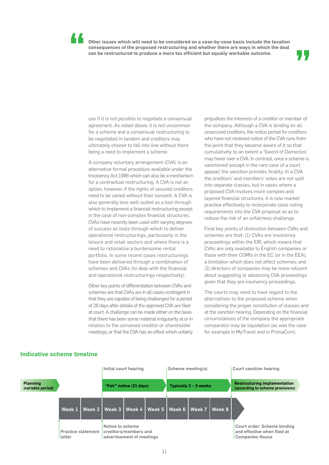**Other issues which will need to be considered on a case-by-case basis include the taxation consequences of the proposed restructuring and whether there are ways in which the deal " can be restructured to produce a more tax efficient but equally workable outcome. "**



use if it is not possible to negotiate a consensual agreement. As noted above, it is not uncommon for a scheme and a consensual restructuring to be negotiated in tandem and creditors may ultimately choose to fall into line without there being a need to implement a scheme.

A company voluntary arrangement (CVA) is an alternative formal procedure available under the Insolvency Act 1986 which can also be a mechanism for a contractual restructuring. A CVA is not an option, however, if the rights of secured creditors need to be varied without their consent. A CVA is also generally less well-suited as a tool through which to implement a financial restructuring except in the case of non-complex financial structures. CVAs have recently been used with varying degrees of success as tools through which to deliver operational restructurings, particularly in the leisure and retail sectors and where there is a need to rationalise a burdensome rental portfolio. In some recent cases restructurings have been delivered through a combination of schemes and CVAs (to deal with the financial and operational restructurings respectively).

Other key points of differentiation between CVAs and schemes are that CVAs are in all cases contingent in that they are capable of being challenged for a period of 28 days after details of the approved CVA are filed at court. A challenge can be made either on the basis that there has been some material irregularity at or in relation to the convened creditor or shareholder meetings, or that the CVA has an effect which unfairly

prejudices the interests of a creditor or member of the company. Although a CVA is binding on all unsecured creditors, the notice period for creditors who have not received notice of the CVA runs from the point that they became aware of it so that cumulatively to an extent a 'Sword of Damocles' may hover over a CVA. In contrast, once a scheme is sanctioned (except in the rare case of a court appeal) the sanction provides finality. In a CVA the creditors' and members' votes are not split into separate classes, but in cases where a proposed CVA involves more complex and layered financial structures, it is now market practice effectively to incorporate class voting requirements into the CVA proposal so as to reduce the risk of an unfairness challenge.

Final key points of distinction between CVAs and schemes are that: (1) CVAs are insolvency proceedings within the EIR, which means that CVAs are only available to English companies or those with their COMIs in the EC (or in the EEA), a limitation which does not affect schemes; and (2) directors of companies may be more reticent about suggesting or advancing CVA proceedings given that they are insolvency proceedings.

The courts may need to have regard to the alternatives to the proposed scheme when considering the proper constitution of classes and at the sanction hearing. Depending on the financial circumstances of the company the appropriate comparator may be liquidation (as was the case for example in MyTravel and in PrimaCom).



#### **Indicative scheme timeline**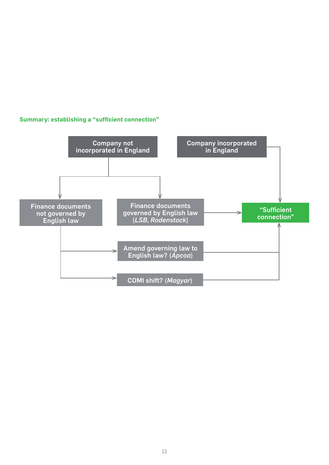#### **Summary: establishing a "sufficient connection"**

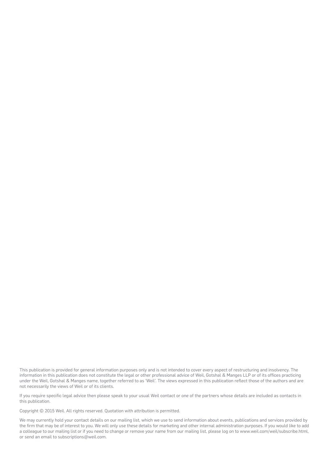This publication is provided for general information purposes only and is not intended to cover every aspect of restructuring and insolvency. The information in this publication does not constitute the legal or other professional advice of Weil, Gotshal & Manges LLP or of its offices practicing under the Weil, Gotshal & Manges name, together referred to as 'Weil'. The views expressed in this publication reflect those of the authors and are not necessarily the views of Weil or of its clients.

If you require specific legal advice then please speak to your usual Weil contact or one of the partners whose details are included as contacts in this publication.

Copyright © 2015 Weil. All rights reserved. Quotation with attribution is permitted.

We may currently hold your contact details on our mailing list, which we use to send information about events, publications and services provided by the firm that may be of interest to you. We will only use these details for marketing and other internal administration purposes. If you would like to add a colleague to our mailing list or if you need to change or remove your name from our mailing list, please log on to www.weil.com/weil/subscribe.html, or send an email to subscriptions@weil.com.